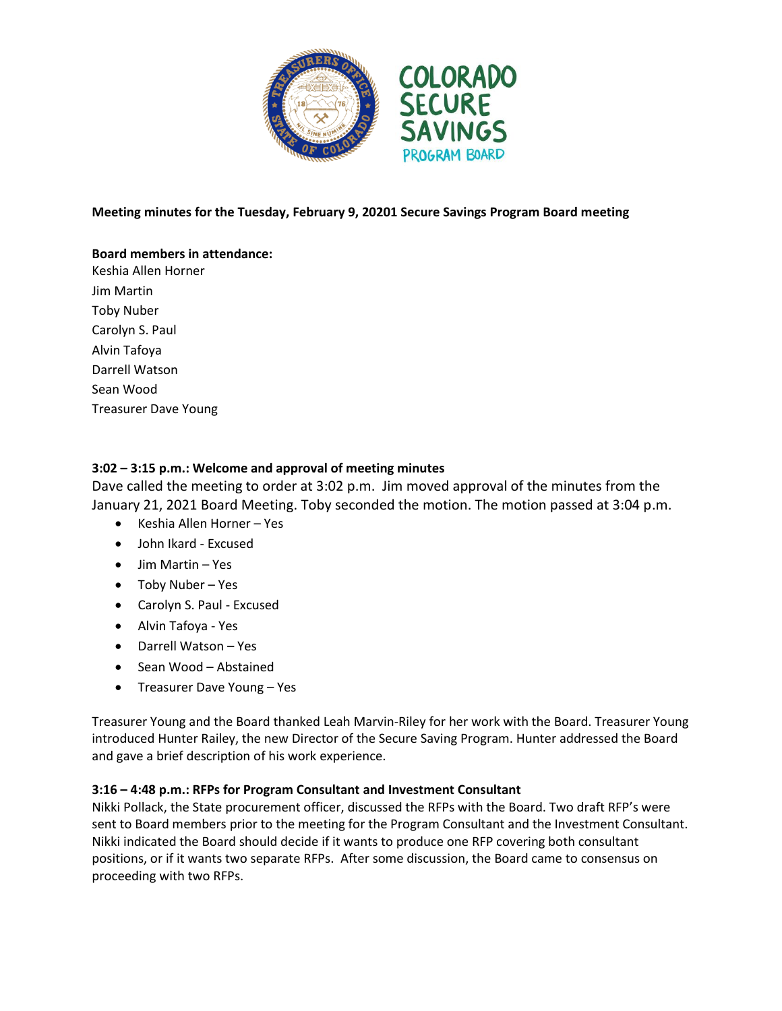

#### **Meeting minutes for the Tuesday, February 9, 20201 Secure Savings Program Board meeting**

# **Board members in attendance:**

Keshia Allen Horner Jim Martin Toby Nuber Carolyn S. Paul Alvin Tafoya Darrell Watson Sean Wood Treasurer Dave Young

## **3:02 – 3:15 p.m.: Welcome and approval of meeting minutes**

Dave called the meeting to order at 3:02 p.m. Jim moved approval of the minutes from the January 21, 2021 Board Meeting. Toby seconded the motion. The motion passed at 3:04 p.m.

- Keshia Allen Horner Yes
- John Ikard Excused
- Jim Martin Yes
- Toby Nuber Yes
- Carolyn S. Paul Excused
- Alvin Tafoya Yes
- Darrell Watson Yes
- Sean Wood Abstained
- Treasurer Dave Young Yes

Treasurer Young and the Board thanked Leah Marvin-Riley for her work with the Board. Treasurer Young introduced Hunter Railey, the new Director of the Secure Saving Program. Hunter addressed the Board and gave a brief description of his work experience.

## **3:16 – 4:48 p.m.: RFPs for Program Consultant and Investment Consultant**

Nikki Pollack, the State procurement officer, discussed the RFPs with the Board. Two draft RFP's were sent to Board members prior to the meeting for the Program Consultant and the Investment Consultant. Nikki indicated the Board should decide if it wants to produce one RFP covering both consultant positions, or if it wants two separate RFPs. After some discussion, the Board came to consensus on proceeding with two RFPs.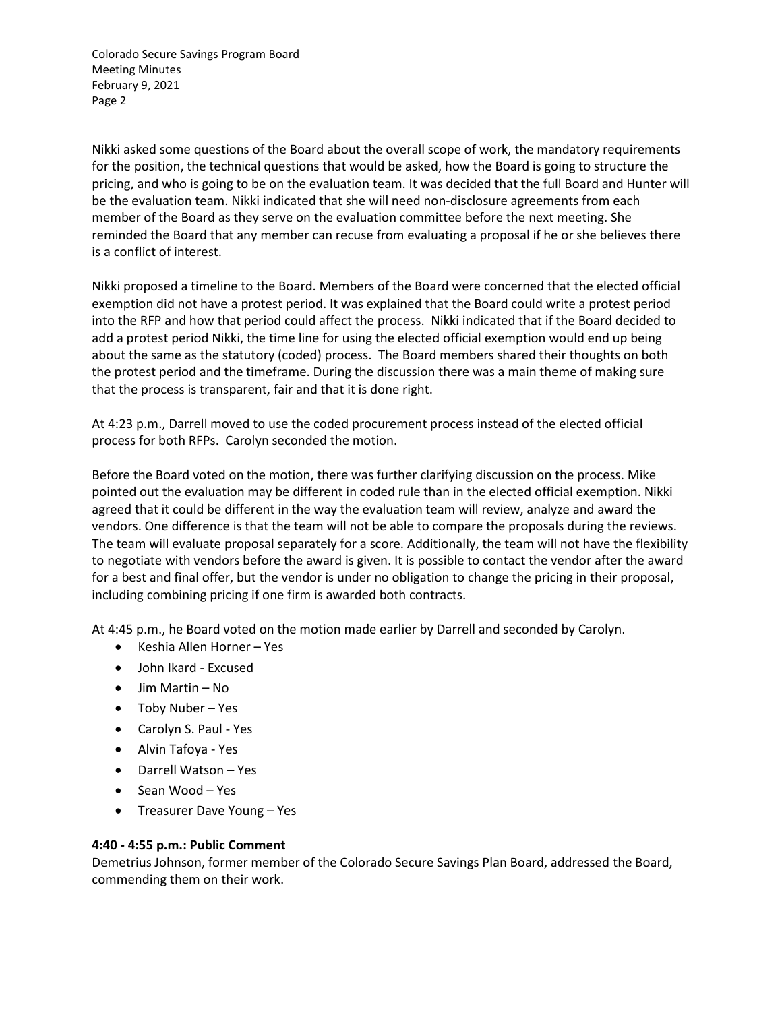Colorado Secure Savings Program Board Meeting Minutes February 9, 2021 Page 2

Nikki asked some questions of the Board about the overall scope of work, the mandatory requirements for the position, the technical questions that would be asked, how the Board is going to structure the pricing, and who is going to be on the evaluation team. It was decided that the full Board and Hunter will be the evaluation team. Nikki indicated that she will need non-disclosure agreements from each member of the Board as they serve on the evaluation committee before the next meeting. She reminded the Board that any member can recuse from evaluating a proposal if he or she believes there is a conflict of interest.

Nikki proposed a timeline to the Board. Members of the Board were concerned that the elected official exemption did not have a protest period. It was explained that the Board could write a protest period into the RFP and how that period could affect the process. Nikki indicated that if the Board decided to add a protest period Nikki, the time line for using the elected official exemption would end up being about the same as the statutory (coded) process. The Board members shared their thoughts on both the protest period and the timeframe. During the discussion there was a main theme of making sure that the process is transparent, fair and that it is done right.

At 4:23 p.m., Darrell moved to use the coded procurement process instead of the elected official process for both RFPs. Carolyn seconded the motion.

Before the Board voted on the motion, there was further clarifying discussion on the process. Mike pointed out the evaluation may be different in coded rule than in the elected official exemption. Nikki agreed that it could be different in the way the evaluation team will review, analyze and award the vendors. One difference is that the team will not be able to compare the proposals during the reviews. The team will evaluate proposal separately for a score. Additionally, the team will not have the flexibility to negotiate with vendors before the award is given. It is possible to contact the vendor after the award for a best and final offer, but the vendor is under no obligation to change the pricing in their proposal, including combining pricing if one firm is awarded both contracts.

At 4:45 p.m., he Board voted on the motion made earlier by Darrell and seconded by Carolyn.

- Keshia Allen Horner Yes
- John Ikard Excused
- Jim Martin No
- Toby Nuber Yes
- Carolyn S. Paul Yes
- Alvin Tafoya Yes
- Darrell Watson Yes
- Sean Wood Yes
- Treasurer Dave Young Yes

#### **4:40 - 4:55 p.m.: Public Comment**

Demetrius Johnson, former member of the Colorado Secure Savings Plan Board, addressed the Board, commending them on their work.